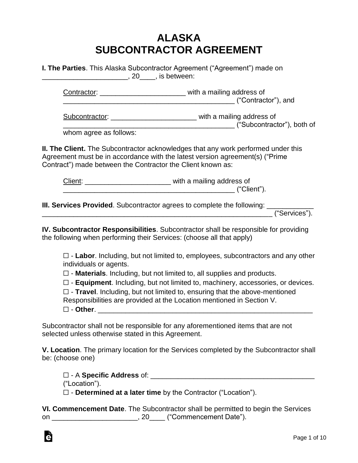## **ALASKA SUBCONTRACTOR AGREEMENT**

| I. The Parties. This Alaska Subcontractor Agreement ("Agreement") made on |  |
|---------------------------------------------------------------------------|--|
| 20 , is between:                                                          |  |

Contractor: \_\_\_\_\_\_\_\_\_\_\_\_\_\_\_\_\_\_\_\_\_\_ with a mailing address of \_\_\_\_\_\_\_\_\_\_\_\_\_\_\_\_\_\_\_\_\_\_\_\_\_\_\_\_\_\_\_\_\_\_\_\_\_\_\_\_\_\_\_\_ ("Contractor"), and

Subcontractor:  $\qquad \qquad$  with a mailing address of \_\_\_\_\_\_\_\_\_\_\_\_\_\_\_\_\_\_\_\_\_\_\_\_\_\_\_\_\_\_\_\_\_\_\_\_\_\_\_\_\_\_\_\_ ("Subcontractor"), both of

whom agree as follows:

**II. The Client.** The Subcontractor acknowledges that any work performed under this Agreement must be in accordance with the latest version agreement(s) ("Prime Contract") made between the Contractor the Client known as:

| Client: | with a mailing address of |
|---------|---------------------------|
|         | ("Client")                |

**III. Services Provided**. Subcontractor agrees to complete the following: \_\_\_\_\_\_\_\_\_\_\_\_

\_\_\_\_\_\_\_\_\_\_\_\_\_\_\_\_\_\_\_\_\_\_\_\_\_\_\_\_\_\_\_\_\_\_\_\_\_\_\_\_\_\_\_\_\_\_\_\_\_\_\_\_\_\_\_\_\_\_\_ ("Services").

**IV. Subcontractor Responsibilities**. Subcontractor shall be responsible for providing the following when performing their Services: (choose all that apply)

☐ - **Labor**. Including, but not limited to, employees, subcontractors and any other individuals or agents.

☐ - **Materials**. Including, but not limited to, all supplies and products.

☐ - **Equipment**. Including, but not limited to, machinery, accessories, or devices.

|  |  | $\square$ - Travel. Including, but not limited to, ensuring that the above-mentioned |
|--|--|--------------------------------------------------------------------------------------|
|  |  |                                                                                      |

Responsibilities are provided at the Location mentioned in Section V.

| - Other. |
|----------|
|----------|

à

Subcontractor shall not be responsible for any aforementioned items that are not selected unless otherwise stated in this Agreement.

**V. Location**. The primary location for the Services completed by the Subcontractor shall be: (choose one)

☐ - A **Specific Address** of: \_\_\_\_\_\_\_\_\_\_\_\_\_\_\_\_\_\_\_\_\_\_\_\_\_\_\_\_\_\_\_\_\_\_\_\_\_\_\_\_\_\_ ("Location"). ☐ - **Determined at a later time** by the Contractor ("Location").

**VI. Commencement Date**. The Subcontractor shall be permitted to begin the Services on \_\_\_\_\_\_\_\_\_\_\_\_\_\_\_\_\_\_\_\_\_\_\_\_\_, 20\_\_\_\_ ("Commencement Date").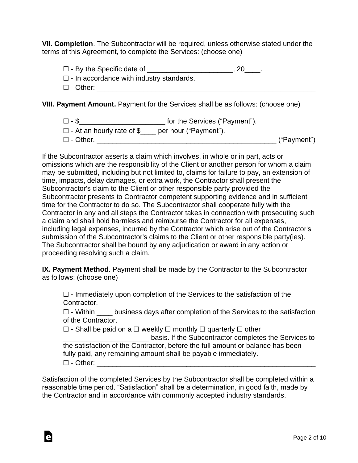**VII. Completion**. The Subcontractor will be required, unless otherwise stated under the terms of this Agreement, to complete the Services: (choose one)

□ - By the Specific date of \_\_\_\_\_\_\_\_\_\_\_\_\_\_\_\_\_\_\_\_\_\_, 20\_\_\_\_.

- ☐ In accordance with industry standards.
- ☐ Other: \_\_\_\_\_\_\_\_\_\_\_\_\_\_\_\_\_\_\_\_\_\_\_\_\_\_\_\_\_\_\_\_\_\_\_\_\_\_\_\_\_\_\_\_\_\_\_\_\_\_\_\_\_\_\_\_

**VIII. Payment Amount.** Payment for the Services shall be as follows: (choose one)

☐ - \$\_\_\_\_\_\_\_\_\_\_\_\_\_\_\_\_\_\_\_\_\_\_ for the Services ("Payment").

- ☐ At an hourly rate of \$\_\_\_\_ per hour ("Payment").
- ☐ Other. \_\_\_\_\_\_\_\_\_\_\_\_\_\_\_\_\_\_\_\_\_\_\_\_\_\_\_\_\_\_\_\_\_\_\_\_\_\_\_\_\_\_\_\_\_\_ ("Payment")

If the Subcontractor asserts a claim which involves, in whole or in part, acts or omissions which are the responsibility of the Client or another person for whom a claim may be submitted, including but not limited to, claims for failure to pay, an extension of time, impacts, delay damages, or extra work, the Contractor shall present the Subcontractor's claim to the Client or other responsible party provided the Subcontractor presents to Contractor competent supporting evidence and in sufficient time for the Contractor to do so. The Subcontractor shall cooperate fully with the Contractor in any and all steps the Contractor takes in connection with prosecuting such a claim and shall hold harmless and reimburse the Contractor for all expenses, including legal expenses, incurred by the Contractor which arise out of the Contractor's submission of the Subcontractor's claims to the Client or other responsible party(ies). The Subcontractor shall be bound by any adjudication or award in any action or proceeding resolving such a claim.

**IX. Payment Method**. Payment shall be made by the Contractor to the Subcontractor as follows: (choose one)

 $\Box$  - Immediately upon completion of the Services to the satisfaction of the Contractor.

☐ - Within \_\_\_\_ business days after completion of the Services to the satisfaction of the Contractor.

☐ - Shall be paid on a ☐ weekly ☐ monthly ☐ quarterly ☐ other

Ġ

\_\_\_\_\_\_\_\_\_\_\_\_\_\_\_\_\_\_\_\_\_\_ basis. If the Subcontractor completes the Services to the satisfaction of the Contractor, before the full amount or balance has been fully paid, any remaining amount shall be payable immediately.  $\square$  - Other:

Satisfaction of the completed Services by the Subcontractor shall be completed within a reasonable time period. "Satisfaction" shall be a determination, in good faith, made by the Contractor and in accordance with commonly accepted industry standards.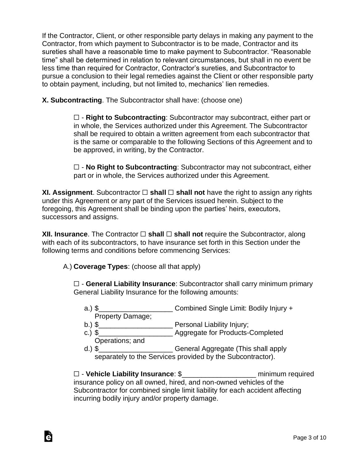If the Contractor, Client, or other responsible party delays in making any payment to the Contractor, from which payment to Subcontractor is to be made, Contractor and its sureties shall have a reasonable time to make payment to Subcontractor. "Reasonable time" shall be determined in relation to relevant circumstances, but shall in no event be less time than required for Contractor, Contractor's sureties, and Subcontractor to pursue a conclusion to their legal remedies against the Client or other responsible party to obtain payment, including, but not limited to, mechanics' lien remedies.

**X. Subcontracting**. The Subcontractor shall have: (choose one)

☐ - **Right to Subcontracting**: Subcontractor may subcontract, either part or in whole, the Services authorized under this Agreement. The Subcontractor shall be required to obtain a written agreement from each subcontractor that is the same or comparable to the following Sections of this Agreement and to be approved, in writing, by the Contractor.

☐ - **No Right to Subcontracting**: Subcontractor may not subcontract, either part or in whole, the Services authorized under this Agreement.

**XI. Assignment**. Subcontractor **□ shall □ shall not** have the right to assign any rights under this Agreement or any part of the Services issued herein. Subject to the foregoing, this Agreement shall be binding upon the parties' heirs, executors, successors and assigns.

**XII. Insurance**. The Contractor ☐ **shall** ☐ **shall not** require the Subcontractor, along with each of its subcontractors, to have insurance set forth in this Section under the following terms and conditions before commencing Services:

A.) **Coverage Types**: (choose all that apply)

Ġ

☐ - **General Liability Insurance**: Subcontractor shall carry minimum primary General Liability Insurance for the following amounts:

- a.) \$\_\_\_\_\_\_\_\_\_\_\_\_\_\_\_\_\_\_\_ Combined Single Limit: Bodily Injury + Property Damage;
- b.) \$\_\_\_\_\_\_\_\_\_\_\_\_\_\_\_\_\_\_\_ Personal Liability Injury;
- c.) \$ Operations; and
- d.) \$<br>1.1 General Aggregate (This shall apply separately to the Services provided by the Subcontractor).

☐ - **Vehicle Liability Insurance**: \$\_\_\_\_\_\_\_\_\_\_\_\_\_\_\_\_\_\_\_ minimum required insurance policy on all owned, hired, and non-owned vehicles of the Subcontractor for combined single limit liability for each accident affecting incurring bodily injury and/or property damage.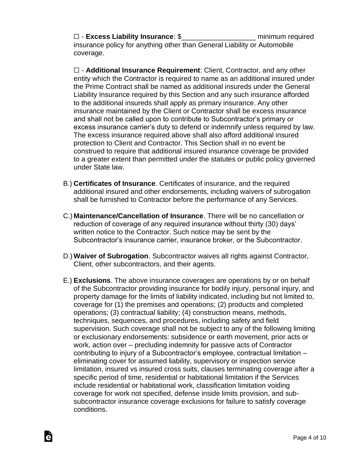☐ - **Excess Liability Insurance**: \$\_\_\_\_\_\_\_\_\_\_\_\_\_\_\_\_\_\_\_ minimum required insurance policy for anything other than General Liability or Automobile coverage.

☐ - **Additional Insurance Requirement**: Client, Contractor, and any other entity which the Contractor is required to name as an additional insured under the Prime Contract shall be named as additional insureds under the General Liability Insurance required by this Section and any such insurance afforded to the additional insureds shall apply as primary insurance. Any other insurance maintained by the Client or Contractor shall be excess insurance and shall not be called upon to contribute to Subcontractor's primary or excess insurance carrier's duty to defend or indemnify unless required by law. The excess insurance required above shall also afford additional insured protection to Client and Contractor. This Section shall in no event be construed to require that additional insured insurance coverage be provided to a greater extent than permitted under the statutes or public policy governed under State law.

- B.) **Certificates of Insurance**. Certificates of insurance, and the required additional insured and other endorsements, including waivers of subrogation shall be furnished to Contractor before the performance of any Services.
- C.) **Maintenance/Cancellation of Insurance**. There will be no cancellation or reduction of coverage of any required insurance without thirty (30) days' written notice to the Contractor. Such notice may be sent by the Subcontractor's insurance carrier, insurance broker, or the Subcontractor.
- D.) **Waiver of Subrogation**. Subcontractor waives all rights against Contractor, Client, other subcontractors, and their agents.
- E.) **Exclusions**. The above insurance coverages are operations by or on behalf of the Subcontractor providing insurance for bodily injury, personal injury, and property damage for the limits of liability indicated, including but not limited to, coverage for (1) the premises and operations; (2) products and completed operations; (3) contractual liability; (4) construction means, methods, techniques, sequences, and procedures, including safety and field supervision. Such coverage shall not be subject to any of the following limiting or exclusionary endorsements: subsidence or earth movement, prior acts or work, action over – precluding indemnity for passive acts of Contractor contributing to injury of a Subcontractor's employee, contractual limitation – eliminating cover for assumed liability, supervisory or inspection service limitation, insured vs insured cross suits, clauses terminating coverage after a specific period of time, residential or habitational limitation if the Services include residential or habitational work, classification limitation voiding coverage for work not specified, defense inside limits provision, and subsubcontractor insurance coverage exclusions for failure to satisfy coverage conditions.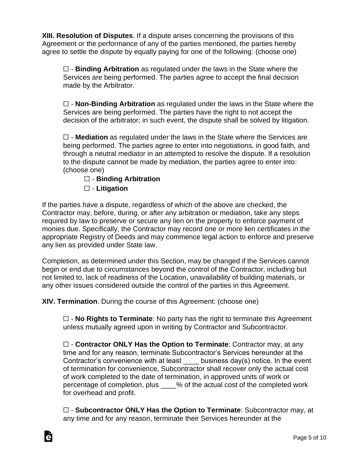**XIII. Resolution of Disputes**. If a dispute arises concerning the provisions of this Agreement or the performance of any of the parties mentioned, the parties hereby agree to settle the dispute by equally paying for one of the following: (choose one)

☐ - **Binding Arbitration** as regulated under the laws in the State where the Services are being performed. The parties agree to accept the final decision made by the Arbitrator.

☐ - **Non-Binding Arbitration** as regulated under the laws in the State where the Services are being performed. The parties have the right to not accept the decision of the arbitrator; in such event, the dispute shall be solved by litigation.

☐ - **Mediation** as regulated under the laws in the State where the Services are being performed. The parties agree to enter into negotiations, in good faith, and through a neutral mediator in an attempted to resolve the dispute. If a resolution to the dispute cannot be made by mediation, the parties agree to enter into: (choose one)

## ☐ - **Binding Arbitration**

☐ - **Litigation**

Ġ

If the parties have a dispute, regardless of which of the above are checked, the Contractor may, before, during, or after any arbitration or mediation, take any steps required by law to preserve or secure any lien on the property to enforce payment of monies due. Specifically, the Contractor may record one or more lien certificates in the appropriate Registry of Deeds and may commence legal action to enforce and preserve any lien as provided under State law.

Completion, as determined under this Section, may be changed if the Services cannot begin or end due to circumstances beyond the control of the Contractor, including but not limited to, lack of readiness of the Location, unavailability of building materials, or any other issues considered outside the control of the parties in this Agreement.

**XIV. Termination**. During the course of this Agreement: (choose one)

☐ - **No Rights to Terminate**: No party has the right to terminate this Agreement unless mutually agreed upon in writing by Contractor and Subcontractor.

☐ - **Contractor ONLY Has the Option to Terminate**: Contractor may, at any time and for any reason, terminate Subcontractor's Services hereunder at the Contractor's convenience with at least \_\_\_\_ business day(s) notice. In the event of termination for convenience, Subcontractor shall recover only the actual cost of work completed to the date of termination, in approved units of work or percentage of completion, plus \_\_\_\_% of the actual cost of the completed work for overhead and profit.

☐ - **Subcontractor ONLY Has the Option to Terminate**: Subcontractor may, at any time and for any reason, terminate their Services hereunder at the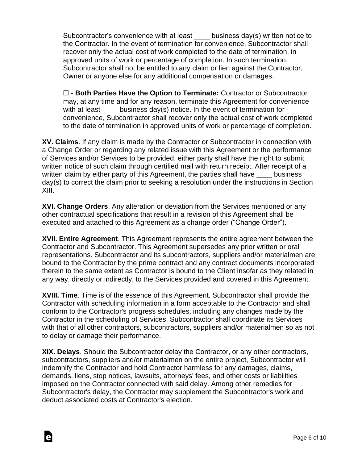Subcontractor's convenience with at least business day(s) written notice to the Contractor. In the event of termination for convenience, Subcontractor shall recover only the actual cost of work completed to the date of termination, in approved units of work or percentage of completion. In such termination, Subcontractor shall not be entitled to any claim or lien against the Contractor, Owner or anyone else for any additional compensation or damages.

☐ - **Both Parties Have the Option to Terminate:** Contractor or Subcontractor may, at any time and for any reason, terminate this Agreement for convenience with at least business day(s) notice. In the event of termination for convenience, Subcontractor shall recover only the actual cost of work completed to the date of termination in approved units of work or percentage of completion.

**XV. Claims**. If any claim is made by the Contractor or Subcontractor in connection with a Change Order or regarding any related issue with this Agreement or the performance of Services and/or Services to be provided, either party shall have the right to submit written notice of such claim through certified mail with return receipt. After receipt of a written claim by either party of this Agreement, the parties shall have business day(s) to correct the claim prior to seeking a resolution under the instructions in Section XIII.

**XVI. Change Orders**. Any alteration or deviation from the Services mentioned or any other contractual specifications that result in a revision of this Agreement shall be executed and attached to this Agreement as a change order ("Change Order").

**XVII. Entire Agreement**. This Agreement represents the entire agreement between the Contractor and Subcontractor. This Agreement supersedes any prior written or oral representations. Subcontractor and its subcontractors, suppliers and/or materialmen are bound to the Contractor by the prime contract and any contract documents incorporated therein to the same extent as Contractor is bound to the Client insofar as they related in any way, directly or indirectly, to the Services provided and covered in this Agreement.

**XVIII. Time**. Time is of the essence of this Agreement. Subcontractor shall provide the Contractor with scheduling information in a form acceptable to the Contractor and shall conform to the Contractor's progress schedules, including any changes made by the Contractor in the scheduling of Services. Subcontractor shall coordinate its Services with that of all other contractors, subcontractors, suppliers and/or materialmen so as not to delay or damage their performance.

**XIX. Delays**. Should the Subcontractor delay the Contractor, or any other contractors, subcontractors, suppliers and/or materialmen on the entire project, Subcontractor will indemnify the Contractor and hold Contractor harmless for any damages, claims, demands, liens, stop notices, lawsuits, attorneys' fees, and other costs or liabilities imposed on the Contractor connected with said delay. Among other remedies for Subcontractor's delay, the Contractor may supplement the Subcontractor's work and deduct associated costs at Contractor's election.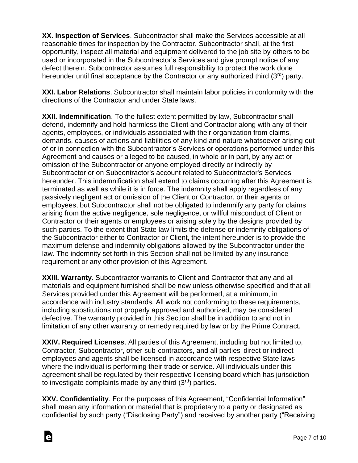**XX. Inspection of Services**. Subcontractor shall make the Services accessible at all reasonable times for inspection by the Contractor. Subcontractor shall, at the first opportunity, inspect all material and equipment delivered to the job site by others to be used or incorporated in the Subcontractor's Services and give prompt notice of any defect therein. Subcontractor assumes full responsibility to protect the work done hereunder until final acceptance by the Contractor or any authorized third  $(3^{rd})$  party.

**XXI. Labor Relations**. Subcontractor shall maintain labor policies in conformity with the directions of the Contractor and under State laws.

**XXII. Indemnification**. To the fullest extent permitted by law, Subcontractor shall defend, indemnify and hold harmless the Client and Contractor along with any of their agents, employees, or individuals associated with their organization from claims, demands, causes of actions and liabilities of any kind and nature whatsoever arising out of or in connection with the Subcontractor's Services or operations performed under this Agreement and causes or alleged to be caused, in whole or in part, by any act or omission of the Subcontractor or anyone employed directly or indirectly by Subcontractor or on Subcontractor's account related to Subcontractor's Services hereunder. This indemnification shall extend to claims occurring after this Agreement is terminated as well as while it is in force. The indemnity shall apply regardless of any passively negligent act or omission of the Client or Contractor, or their agents or employees, but Subcontractor shall not be obligated to indemnify any party for claims arising from the active negligence, sole negligence, or willful misconduct of Client or Contractor or their agents or employees or arising solely by the designs provided by such parties. To the extent that State law limits the defense or indemnity obligations of the Subcontractor either to Contractor or Client, the intent hereunder is to provide the maximum defense and indemnity obligations allowed by the Subcontractor under the law. The indemnity set forth in this Section shall not be limited by any insurance requirement or any other provision of this Agreement.

**XXIII. Warranty**. Subcontractor warrants to Client and Contractor that any and all materials and equipment furnished shall be new unless otherwise specified and that all Services provided under this Agreement will be performed, at a minimum, in accordance with industry standards. All work not conforming to these requirements, including substitutions not properly approved and authorized, may be considered defective. The warranty provided in this Section shall be in addition to and not in limitation of any other warranty or remedy required by law or by the Prime Contract.

**XXIV. Required Licenses**. All parties of this Agreement, including but not limited to, Contractor, Subcontractor, other sub-contractors, and all parties' direct or indirect employees and agents shall be licensed in accordance with respective State laws where the individual is performing their trade or service. All individuals under this agreement shall be regulated by their respective licensing board which has jurisdiction to investigate complaints made by any third  $(3<sup>rd</sup>)$  parties.

**XXV. Confidentiality**. For the purposes of this Agreement, "Confidential Information" shall mean any information or material that is proprietary to a party or designated as confidential by such party ("Disclosing Party") and received by another party ("Receiving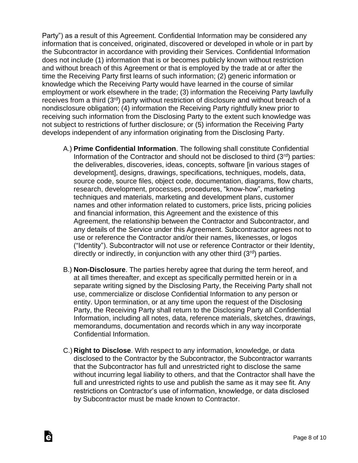Party") as a result of this Agreement. Confidential Information may be considered any information that is conceived, originated, discovered or developed in whole or in part by the Subcontractor in accordance with providing their Services. Confidential Information does not include (1) information that is or becomes publicly known without restriction and without breach of this Agreement or that is employed by the trade at or after the time the Receiving Party first learns of such information; (2) generic information or knowledge which the Receiving Party would have learned in the course of similar employment or work elsewhere in the trade; (3) information the Receiving Party lawfully receives from a third (3rd) party without restriction of disclosure and without breach of a nondisclosure obligation; (4) information the Receiving Party rightfully knew prior to receiving such information from the Disclosing Party to the extent such knowledge was not subject to restrictions of further disclosure; or (5) information the Receiving Party develops independent of any information originating from the Disclosing Party.

- A.) **Prime Confidential Information**. The following shall constitute Confidential Information of the Contractor and should not be disclosed to third  $(3^{rd})$  parties: the deliverables, discoveries, ideas, concepts, software [in various stages of development], designs, drawings, specifications, techniques, models, data, source code, source files, object code, documentation, diagrams, flow charts, research, development, processes, procedures, "know-how", marketing techniques and materials, marketing and development plans, customer names and other information related to customers, price lists, pricing policies and financial information, this Agreement and the existence of this Agreement, the relationship between the Contractor and Subcontractor, and any details of the Service under this Agreement. Subcontractor agrees not to use or reference the Contractor and/or their names, likenesses, or logos ("Identity"). Subcontractor will not use or reference Contractor or their Identity, directly or indirectly, in conjunction with any other third  $(3<sup>rd</sup>)$  parties.
- B.) **Non-Disclosure**. The parties hereby agree that during the term hereof, and at all times thereafter, and except as specifically permitted herein or in a separate writing signed by the Disclosing Party, the Receiving Party shall not use, commercialize or disclose Confidential Information to any person or entity. Upon termination, or at any time upon the request of the Disclosing Party, the Receiving Party shall return to the Disclosing Party all Confidential Information, including all notes, data, reference materials, sketches, drawings, memorandums, documentation and records which in any way incorporate Confidential Information.
- C.) **Right to Disclose**. With respect to any information, knowledge, or data disclosed to the Contractor by the Subcontractor, the Subcontractor warrants that the Subcontractor has full and unrestricted right to disclose the same without incurring legal liability to others, and that the Contractor shall have the full and unrestricted rights to use and publish the same as it may see fit. Any restrictions on Contractor's use of information, knowledge, or data disclosed by Subcontractor must be made known to Contractor.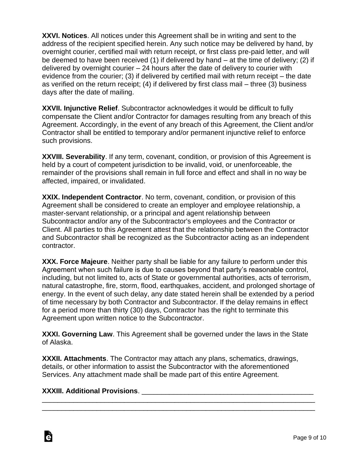**XXVI. Notices**. All notices under this Agreement shall be in writing and sent to the address of the recipient specified herein. Any such notice may be delivered by hand, by overnight courier, certified mail with return receipt, or first class pre-paid letter, and will be deemed to have been received (1) if delivered by hand – at the time of delivery; (2) if delivered by overnight courier – 24 hours after the date of delivery to courier with evidence from the courier; (3) if delivered by certified mail with return receipt – the date as verified on the return receipt; (4) if delivered by first class mail – three (3) business days after the date of mailing.

**XXVII. Injunctive Relief**. Subcontractor acknowledges it would be difficult to fully compensate the Client and/or Contractor for damages resulting from any breach of this Agreement. Accordingly, in the event of any breach of this Agreement, the Client and/or Contractor shall be entitled to temporary and/or permanent injunctive relief to enforce such provisions.

**XXVIII. Severability**. If any term, covenant, condition, or provision of this Agreement is held by a court of competent jurisdiction to be invalid, void, or unenforceable, the remainder of the provisions shall remain in full force and effect and shall in no way be affected, impaired, or invalidated.

**XXIX. Independent Contractor**. No term, covenant, condition, or provision of this Agreement shall be considered to create an employer and employee relationship, a master-servant relationship, or a principal and agent relationship between Subcontractor and/or any of the Subcontractor's employees and the Contractor or Client. All parties to this Agreement attest that the relationship between the Contractor and Subcontractor shall be recognized as the Subcontractor acting as an independent contractor.

**XXX. Force Majeure**. Neither party shall be liable for any failure to perform under this Agreement when such failure is due to causes beyond that party's reasonable control, including, but not limited to, acts of State or governmental authorities, acts of terrorism, natural catastrophe, fire, storm, flood, earthquakes, accident, and prolonged shortage of energy. In the event of such delay, any date stated herein shall be extended by a period of time necessary by both Contractor and Subcontractor. If the delay remains in effect for a period more than thirty (30) days, Contractor has the right to terminate this Agreement upon written notice to the Subcontractor.

**XXXI. Governing Law**. This Agreement shall be governed under the laws in the State of Alaska.

**XXXII. Attachments**. The Contractor may attach any plans, schematics, drawings, details, or other information to assist the Subcontractor with the aforementioned Services. Any attachment made shall be made part of this entire Agreement.

\_\_\_\_\_\_\_\_\_\_\_\_\_\_\_\_\_\_\_\_\_\_\_\_\_\_\_\_\_\_\_\_\_\_\_\_\_\_\_\_\_\_\_\_\_\_\_\_\_\_\_\_\_\_\_\_\_\_\_\_\_\_\_\_\_\_\_\_\_\_ \_\_\_\_\_\_\_\_\_\_\_\_\_\_\_\_\_\_\_\_\_\_\_\_\_\_\_\_\_\_\_\_\_\_\_\_\_\_\_\_\_\_\_\_\_\_\_\_\_\_\_\_\_\_\_\_\_\_\_\_\_\_\_\_\_\_\_\_\_\_

## **XXXIII. Additional Provisions**. \_\_\_\_\_\_\_\_\_\_\_\_\_\_\_\_\_\_\_\_\_\_\_\_\_\_\_\_\_\_\_\_\_\_\_\_\_\_\_\_\_\_\_\_